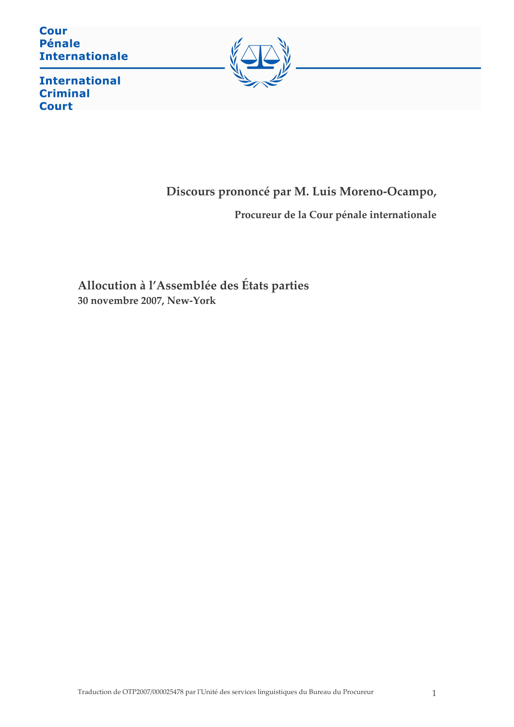**Cour Pénale Internationale** 



**International Criminal Court** 

# Discours prononcé par M. Luis Moreno-Ocampo,

Procureur de la Cour pénale internationale

Allocution à l'Assemblée des États parties 30 novembre 2007, New-York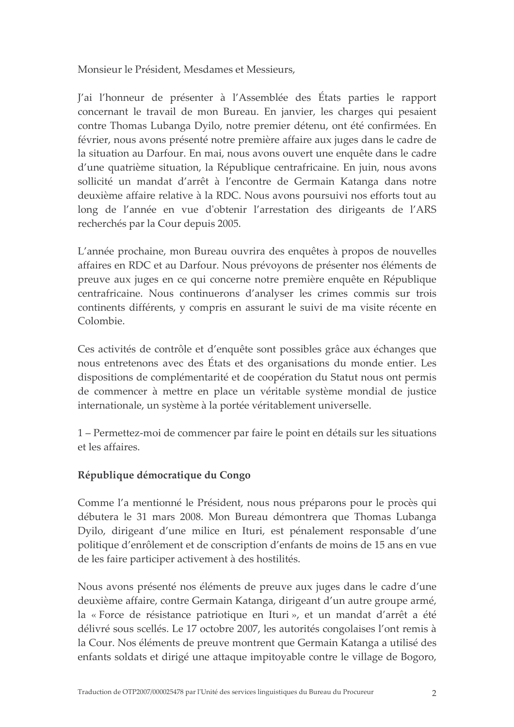Monsieur le Président, Mesdames et Messieurs,

J'ai l'honneur de présenter à l'Assemblée des États parties le rapport concernant le travail de mon Bureau. En janvier, les charges qui pesaient contre Thomas Lubanga Dyilo, notre premier détenu, ont été confirmées. En février, nous avons présenté notre première affaire aux juges dans le cadre de la situation au Darfour. En mai, nous avons ouvert une enquête dans le cadre d'une quatrième situation, la République centrafricaine. En juin, nous avons sollicité un mandat d'arrêt à l'encontre de Germain Katanga dans notre deuxième affaire relative à la RDC. Nous avons poursuivi nos efforts tout au long de l'année en vue d'obtenir l'arrestation des dirigeants de l'ARS recherchés par la Cour depuis 2005.

L'année prochaine, mon Bureau ouvrira des enquêtes à propos de nouvelles affaires en RDC et au Darfour. Nous prévoyons de présenter nos éléments de preuve aux juges en ce qui concerne notre première enquête en République centrafricaine. Nous continuerons d'analyser les crimes commis sur trois continents différents, y compris en assurant le suivi de ma visite récente en Colombie.

Ces activités de contrôle et d'enquête sont possibles grâce aux échanges que nous entretenons avec des États et des organisations du monde entier. Les dispositions de complémentarité et de coopération du Statut nous ont permis de commencer à mettre en place un véritable système mondial de justice internationale, un système à la portée véritablement universelle.

1 – Permettez-moi de commencer par faire le point en détails sur les situations et les affaires.

### République démocratique du Congo

Comme l'a mentionné le Président, nous nous préparons pour le procès qui débutera le 31 mars 2008. Mon Bureau démontrera que Thomas Lubanga Dyilo, dirigeant d'une milice en Ituri, est pénalement responsable d'une politique d'enrôlement et de conscription d'enfants de moins de 15 ans en vue de les faire participer activement à des hostilités.

Nous avons présenté nos éléments de preuve aux juges dans le cadre d'une deuxième affaire, contre Germain Katanga, dirigeant d'un autre groupe armé, la «Force de résistance patriotique en Ituri», et un mandat d'arrêt a été délivré sous scellés. Le 17 octobre 2007, les autorités congolaises l'ont remis à la Cour. Nos éléments de preuve montrent que Germain Katanga a utilisé des enfants soldats et dirigé une attaque impitoyable contre le village de Bogoro,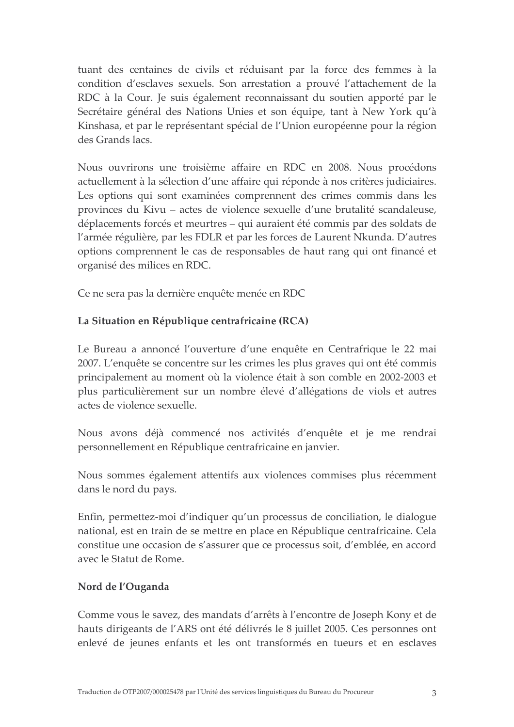tuant des centaines de civils et réduisant par la force des femmes à la condition d'esclaves sexuels. Son arrestation a prouvé l'attachement de la RDC à la Cour. Je suis également reconnaissant du soutien apporté par le Secrétaire général des Nations Unies et son équipe, tant à New York qu'à Kinshasa, et par le représentant spécial de l'Union européenne pour la région des Grands lacs.

Nous ouvrirons une troisième affaire en RDC en 2008. Nous procédons actuellement à la sélection d'une affaire qui réponde à nos critères judiciaires. Les options qui sont examinées comprennent des crimes commis dans les provinces du Kivu – actes de violence sexuelle d'une brutalité scandaleuse, déplacements forcés et meurtres – qui auraient été commis par des soldats de l'armée régulière, par les FDLR et par les forces de Laurent Nkunda. D'autres options comprennent le cas de responsables de haut rang qui ont financé et organisé des milices en RDC.

Ce ne sera pas la dernière enquête menée en RDC

### La Situation en République centrafricaine (RCA)

Le Bureau a annoncé l'ouverture d'une enquête en Centrafrique le 22 mai 2007. L'enquête se concentre sur les crimes les plus graves qui ont été commis principalement au moment où la violence était à son comble en 2002-2003 et plus particulièrement sur un nombre élevé d'allégations de viols et autres actes de violence sexuelle

Nous avons déjà commencé nos activités d'enquête et je me rendrai personnellement en République centrafricaine en janvier.

Nous sommes également attentifs aux violences commises plus récemment dans le nord du pays.

Enfin, permettez-moi d'indiquer qu'un processus de conciliation, le dialogue national, est en train de se mettre en place en République centrafricaine. Cela constitue une occasion de s'assurer que ce processus soit, d'emblée, en accord avec le Statut de Rome.

### Nord de l'Ouganda

Comme vous le savez, des mandats d'arrêts à l'encontre de Joseph Kony et de hauts dirigeants de l'ARS ont été délivrés le 8 juillet 2005. Ces personnes ont enlevé de jeunes enfants et les ont transformés en tueurs et en esclaves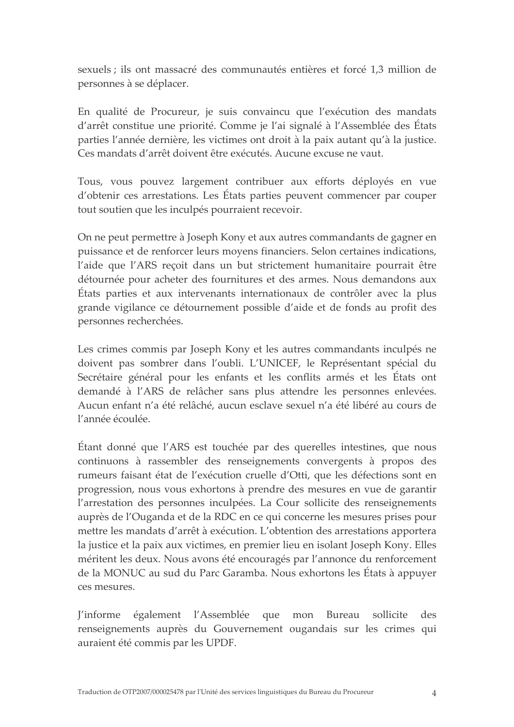sexuels ; ils ont massacré des communautés entières et forcé 1,3 million de personnes à se déplacer.

En qualité de Procureur, je suis convaincu que l'exécution des mandats d'arrêt constitue une priorité. Comme je l'ai signalé à l'Assemblée des États parties l'année dernière, les victimes ont droit à la paix autant qu'à la justice. Ces mandats d'arrêt doivent être exécutés. Aucune excuse ne vaut.

Tous, vous pouvez largement contribuer aux efforts déployés en vue d'obtenir ces arrestations. Les États parties peuvent commencer par couper tout soutien que les inculpés pourraient recevoir.

On ne peut permettre à Joseph Kony et aux autres commandants de gagner en puissance et de renforcer leurs moyens financiers. Selon certaines indications, l'aide que l'ARS reçoit dans un but strictement humanitaire pourrait être détournée pour acheter des fournitures et des armes. Nous demandons aux États parties et aux intervenants internationaux de contrôler avec la plus grande vigilance ce détournement possible d'aide et de fonds au profit des personnes recherchées.

Les crimes commis par Joseph Kony et les autres commandants inculpés ne doivent pas sombrer dans l'oubli. L'UNICEF, le Représentant spécial du Secrétaire général pour les enfants et les conflits armés et les États ont demandé à l'ARS de relâcher sans plus attendre les personnes enlevées. Aucun enfant n'a été relâché, aucun esclave sexuel n'a été libéré au cours de l'année écoulée.

Étant donné que l'ARS est touchée par des querelles intestines, que nous continuons à rassembler des renseignements convergents à propos des rumeurs faisant état de l'exécution cruelle d'Otti, que les défections sont en progression, nous vous exhortons à prendre des mesures en vue de garantir l'arrestation des personnes inculpées. La Cour sollicite des renseignements auprès de l'Ouganda et de la RDC en ce qui concerne les mesures prises pour mettre les mandats d'arrêt à exécution. L'obtention des arrestations apportera la justice et la paix aux victimes, en premier lieu en isolant Joseph Kony. Elles méritent les deux. Nous avons été encouragés par l'annonce du renforcement de la MONUC au sud du Parc Garamba. Nous exhortons les États à appuyer ces mesures.

l'informe également l'Assemblée que mon Bureau sollicite des renseignements auprès du Gouvernement ougandais sur les crimes qui auraient été commis par les UPDF.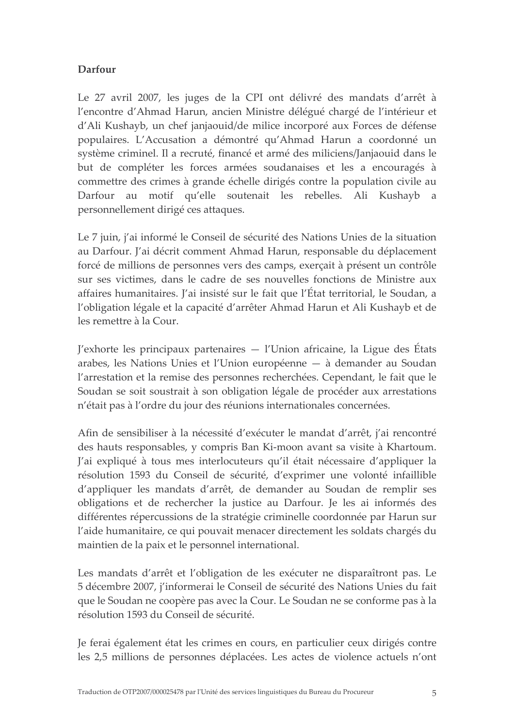## Darfour

Le 27 avril 2007, les juges de la CPI ont délivré des mandats d'arrêt à l'encontre d'Ahmad Harun, ancien Ministre délégué chargé de l'intérieur et d'Ali Kushayb, un chef janjaouid/de milice incorporé aux Forces de défense populaires. L'Accusation a démontré qu'Ahmad Harun a coordonné un système criminel. Il a recruté, financé et armé des miliciens/Janjaouid dans le but de compléter les forces armées soudanaises et les a encouragés à commettre des crimes à grande échelle dirigés contre la population civile au Darfour au motif qu'elle soutenait les rebelles. Ali Kushayb a personnellement dirigé ces attaques.

Le 7 juin, j'ai informé le Conseil de sécurité des Nations Unies de la situation au Darfour. J'ai décrit comment Ahmad Harun, responsable du déplacement forcé de millions de personnes vers des camps, exerçait à présent un contrôle sur ses victimes, dans le cadre de ses nouvelles fonctions de Ministre aux affaires humanitaires. J'ai insisté sur le fait que l'État territorial, le Soudan, a l'obligation légale et la capacité d'arrêter Ahmad Harun et Ali Kushayb et de les remettre à la Cour.

 $J'$ exhorte les principaux partenaires —  $I'$ Union africaine, la Ligue des États arabes, les Nations Unies et l'Union européenne — à demander au Soudan l'arrestation et la remise des personnes recherchées. Cependant, le fait que le Soudan se soit soustrait à son obligation légale de procéder aux arrestations n'était pas à l'ordre du jour des réunions internationales concernées.

Afin de sensibiliser à la nécessité d'exécuter le mandat d'arrêt, j'ai rencontré des hauts responsables, y compris Ban Ki-moon avant sa visite à Khartoum. J'ai expliqué à tous mes interlocuteurs qu'il était nécessaire d'appliquer la résolution 1593 du Conseil de sécurité, d'exprimer une volonté infaillible d'appliquer les mandats d'arrêt, de demander au Soudan de remplir ses obligations et de rechercher la justice au Darfour. Je les ai informés des différentes répercussions de la stratégie criminelle coordonnée par Harun sur l'aide humanitaire, ce qui pouvait menacer directement les soldats chargés du maintien de la paix et le personnel international.

Les mandats d'arrêt et l'obligation de les exécuter ne disparaîtront pas. Le 5 décembre 2007, j'informerai le Conseil de sécurité des Nations Unies du fait que le Soudan ne coopère pas avec la Cour. Le Soudan ne se conforme pas à la résolution 1593 du Conseil de sécurité.

Je ferai également état les crimes en cours, en particulier ceux dirigés contre les 2,5 millions de personnes déplacées. Les actes de violence actuels n'ont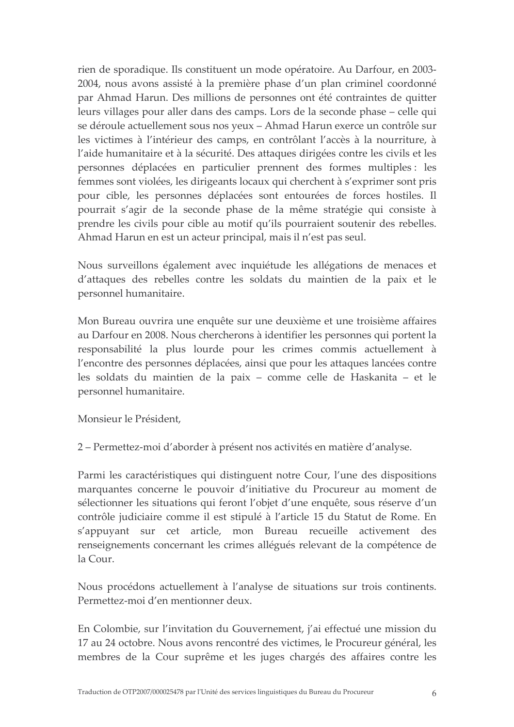rien de sporadique. Ils constituent un mode opératoire. Au Darfour, en 2003-2004, nous avons assisté à la première phase d'un plan criminel coordonné par Ahmad Harun. Des millions de personnes ont été contraintes de quitter leurs villages pour aller dans des camps. Lors de la seconde phase – celle qui se déroule actuellement sous nos yeux - Ahmad Harun exerce un contrôle sur les victimes à l'intérieur des camps, en contrôlant l'accès à la nourriture, à l'aide humanitaire et à la sécurité. Des attaques dirigées contre les civils et les personnes déplacées en particulier prennent des formes multiples : les femmes sont violées, les dirigeants locaux qui cherchent à s'exprimer sont pris pour cible, les personnes déplacées sont entourées de forces hostiles. Il pourrait s'agir de la seconde phase de la même stratégie qui consiste à prendre les civils pour cible au motif qu'ils pourraient soutenir des rebelles. Ahmad Harun en est un acteur principal, mais il n'est pas seul.

Nous surveillons également avec inquiétude les allégations de menaces et d'attaques des rebelles contre les soldats du maintien de la paix et le personnel humanitaire.

Mon Bureau ouvrira une enquête sur une deuxième et une troisième affaires au Darfour en 2008. Nous chercherons à identifier les personnes qui portent la responsabilité la plus lourde pour les crimes commis actuellement à l'encontre des personnes déplacées, ainsi que pour les attaques lancées contre les soldats du maintien de la paix - comme celle de Haskanita - et le personnel humanitaire.

Monsieur le Président,

2 – Permettez-moi d'aborder à présent nos activités en matière d'analyse.

Parmi les caractéristiques qui distinguent notre Cour, l'une des dispositions marquantes concerne le pouvoir d'initiative du Procureur au moment de sélectionner les situations qui feront l'objet d'une enquête, sous réserve d'un contrôle judiciaire comme il est stipulé à l'article 15 du Statut de Rome. En s'appuyant sur cet article, mon Bureau recueille activement des renseignements concernant les crimes allégués relevant de la compétence de la Cour.

Nous procédons actuellement à l'analyse de situations sur trois continents. Permettez-moi d'en mentionner deux.

En Colombie, sur l'invitation du Gouvernement, j'ai effectué une mission du 17 au 24 octobre. Nous avons rencontré des victimes, le Procureur général, les membres de la Cour suprême et les juges chargés des affaires contre les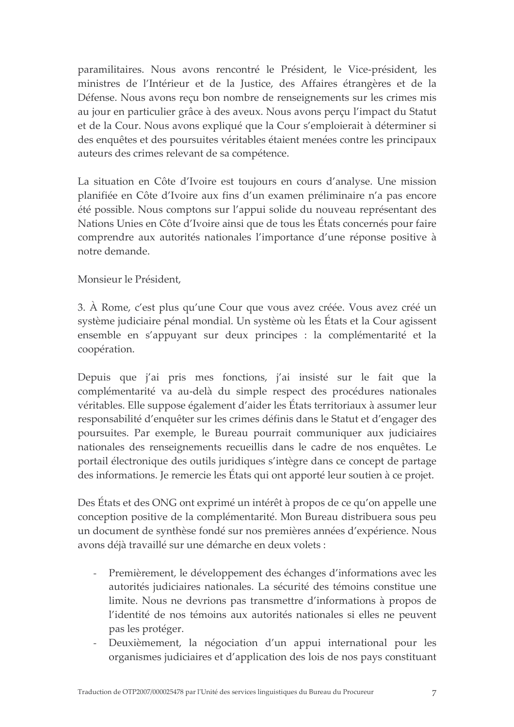paramilitaires. Nous avons rencontré le Président, le Vice-président, les ministres de l'Intérieur et de la Justice, des Affaires étrangères et de la Défense. Nous avons reçu bon nombre de renseignements sur les crimes mis au jour en particulier grâce à des aveux. Nous avons perçu l'impact du Statut et de la Cour. Nous avons expliqué que la Cour s'emploierait à déterminer si des enquêtes et des poursuites véritables étaient menées contre les principaux auteurs des crimes relevant de sa compétence.

La situation en Côte d'Ivoire est toujours en cours d'analyse. Une mission planifiée en Côte d'Ivoire aux fins d'un examen préliminaire n'a pas encore été possible. Nous comptons sur l'appui solide du nouveau représentant des Nations Unies en Côte d'Ivoire ainsi que de tous les États concernés pour faire comprendre aux autorités nationales l'importance d'une réponse positive à notre demande.

Monsieur le Président,

3. À Rome, c'est plus qu'une Cour que vous avez créée. Vous avez créé un système judiciaire pénal mondial. Un système où les États et la Cour agissent ensemble en s'appuyant sur deux principes : la complémentarité et la coopération.

Depuis que j'ai pris mes fonctions, j'ai insisté sur le fait que la complémentarité va au-delà du simple respect des procédures nationales véritables. Elle suppose également d'aider les États territoriaux à assumer leur responsabilité d'enquêter sur les crimes définis dans le Statut et d'engager des poursuites. Par exemple, le Bureau pourrait communiquer aux judiciaires nationales des renseignements recueillis dans le cadre de nos enquêtes. Le portail électronique des outils juridiques s'intègre dans ce concept de partage des informations. Je remercie les États qui ont apporté leur soutien à ce projet.

Des États et des ONG ont exprimé un intérêt à propos de ce qu'on appelle une conception positive de la complémentarité. Mon Bureau distribuera sous peu un document de synthèse fondé sur nos premières années d'expérience. Nous avons déjà travaillé sur une démarche en deux volets :

- $\omega$  . Premièrement, le développement des échanges d'informations avec les autorités judiciaires nationales. La sécurité des témoins constitue une limite. Nous ne devrions pas transmettre d'informations à propos de l'identité de nos témoins aux autorités nationales si elles ne peuvent pas les protéger.
- Deuxièmement, la négociation d'un appui international pour les organismes judiciaires et d'application des lois de nos pays constituant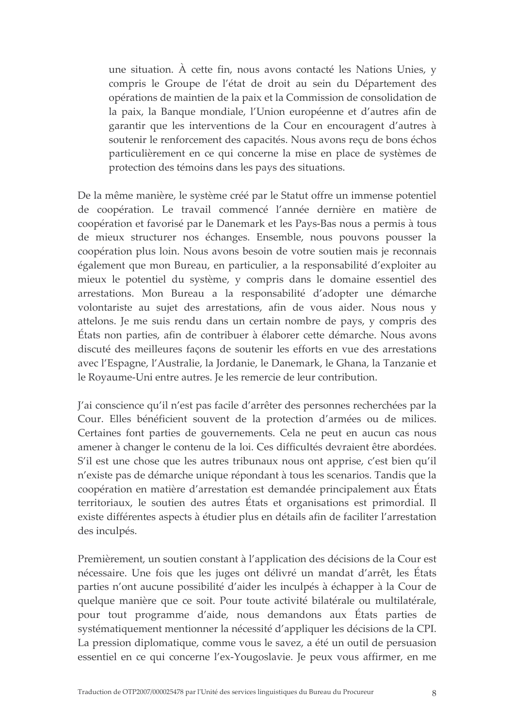une situation. À cette fin, nous avons contacté les Nations Unies, y compris le Groupe de l'état de droit au sein du Département des opérations de maintien de la paix et la Commission de consolidation de la paix, la Banque mondiale, l'Union européenne et d'autres afin de garantir que les interventions de la Cour en encouragent d'autres à soutenir le renforcement des capacités. Nous avons reçu de bons échos particulièrement en ce qui concerne la mise en place de systèmes de protection des témoins dans les pays des situations.

De la même manière, le système créé par le Statut offre un immense potentiel de coopération. Le travail commencé l'année dernière en matière de coopération et favorisé par le Danemark et les Pays-Bas nous a permis à tous de mieux structurer nos échanges. Ensemble, nous pouvons pousser la coopération plus loin. Nous avons besoin de votre soutien mais je reconnais également que mon Bureau, en particulier, a la responsabilité d'exploiter au mieux le potentiel du système, y compris dans le domaine essentiel des arrestations. Mon Bureau a la responsabilité d'adopter une démarche volontariste au sujet des arrestations, afin de vous aider. Nous nous y attelons. Je me suis rendu dans un certain nombre de pays, y compris des États non parties, afin de contribuer à élaborer cette démarche. Nous avons discuté des meilleures façons de soutenir les efforts en vue des arrestations avec l'Espagne, l'Australie, la Jordanie, le Danemark, le Ghana, la Tanzanie et le Royaume-Uni entre autres. Je les remercie de leur contribution.

J'ai conscience qu'il n'est pas facile d'arrêter des personnes recherchées par la Cour. Elles bénéficient souvent de la protection d'armées ou de milices. Certaines font parties de gouvernements. Cela ne peut en aucun cas nous amener à changer le contenu de la loi. Ces difficultés devraient être abordées. S'il est une chose que les autres tribunaux nous ont apprise, c'est bien qu'il n'existe pas de démarche unique répondant à tous les scenarios. Tandis que la coopération en matière d'arrestation est demandée principalement aux États territoriaux, le soutien des autres États et organisations est primordial. Il existe différentes aspects à étudier plus en détails afin de faciliter l'arrestation des inculpés.

Premièrement, un soutien constant à l'application des décisions de la Cour est nécessaire. Une fois que les juges ont délivré un mandat d'arrêt, les États parties n'ont aucune possibilité d'aider les inculpés à échapper à la Cour de quelque manière que ce soit. Pour toute activité bilatérale ou multilatérale, pour tout programme d'aide, nous demandons aux États parties de systématiquement mentionner la nécessité d'appliquer les décisions de la CPI. La pression diplomatique, comme vous le savez, a été un outil de persuasion essentiel en ce qui concerne l'ex-Yougoslavie. Je peux vous affirmer, en me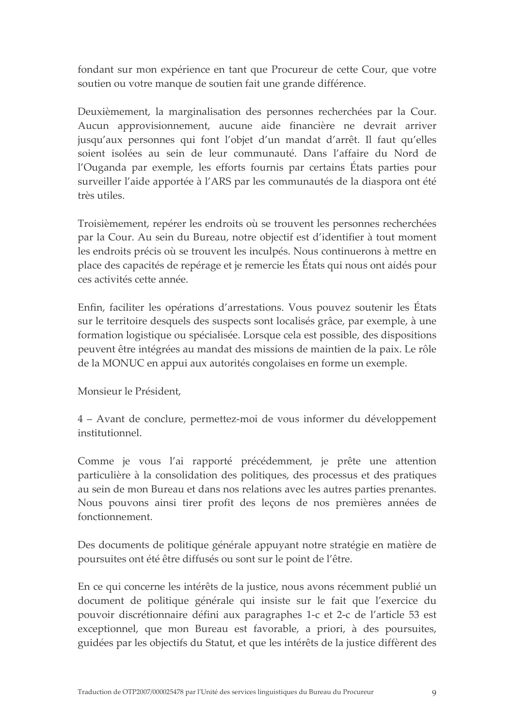fondant sur mon expérience en tant que Procureur de cette Cour, que votre soutien ou votre manque de soutien fait une grande différence.

Deuxièmement, la marginalisation des personnes recherchées par la Cour. Aucun approvisionnement, aucune aide financière ne devrait arriver jusqu'aux personnes qui font l'objet d'un mandat d'arrêt. Il faut qu'elles soient isolées au sein de leur communauté. Dans l'affaire du Nord de l'Ouganda par exemple, les efforts fournis par certains États parties pour surveiller l'aide apportée à l'ARS par les communautés de la diaspora ont été très utiles.

Troisièmement, repérer les endroits où se trouvent les personnes recherchées par la Cour. Au sein du Bureau, notre objectif est d'identifier à tout moment les endroits précis où se trouvent les inculpés. Nous continuerons à mettre en place des capacités de repérage et je remercie les États qui nous ont aidés pour ces activités cette année.

Enfin, faciliter les opérations d'arrestations. Vous pouvez soutenir les États sur le territoire desquels des suspects sont localisés grâce, par exemple, à une formation logistique ou spécialisée. Lorsque cela est possible, des dispositions peuvent être intégrées au mandat des missions de maintien de la paix. Le rôle de la MONUC en appui aux autorités congolaises en forme un exemple.

Monsieur le Président,

4 – Avant de conclure, permettez-moi de vous informer du développement institutionnel.

Comme je vous l'ai rapporté précédemment, je prête une attention particulière à la consolidation des politiques, des processus et des pratiques au sein de mon Bureau et dans nos relations avec les autres parties prenantes. Nous pouvons ainsi tirer profit des leçons de nos premières années de fonctionnement

Des documents de politique générale appuyant notre stratégie en matière de poursuites ont été être diffusés ou sont sur le point de l'être.

En ce qui concerne les intérêts de la justice, nous avons récemment publié un document de politique générale qui insiste sur le fait que l'exercice du pouvoir discrétionnaire défini aux paragraphes 1-c et 2-c de l'article 53 est exceptionnel, que mon Bureau est favorable, a priori, à des poursuites, guidées par les objectifs du Statut, et que les intérêts de la justice diffèrent des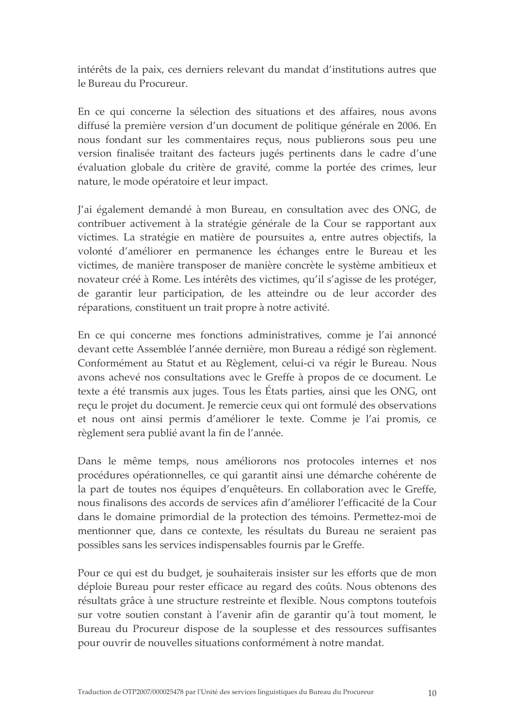intérêts de la paix, ces derniers relevant du mandat d'institutions autres que le Bureau du Procureur.

En ce qui concerne la sélection des situations et des affaires, nous avons diffusé la première version d'un document de politique générale en 2006. En nous fondant sur les commentaires reçus, nous publierons sous peu une version finalisée traitant des facteurs jugés pertinents dans le cadre d'une évaluation globale du critère de gravité, comme la portée des crimes, leur nature, le mode opératoire et leur impact.

J'ai également demandé à mon Bureau, en consultation avec des ONG, de contribuer activement à la stratégie générale de la Cour se rapportant aux victimes. La stratégie en matière de poursuites a, entre autres objectifs, la volonté d'améliorer en permanence les échanges entre le Bureau et les victimes, de manière transposer de manière concrète le système ambitieux et novateur créé à Rome. Les intérêts des victimes, qu'il s'agisse de les protéger, de garantir leur participation, de les atteindre ou de leur accorder des réparations, constituent un trait propre à notre activité.

En ce qui concerne mes fonctions administratives, comme je l'ai annoncé devant cette Assemblée l'année dernière, mon Bureau a rédigé son règlement. Conformément au Statut et au Règlement, celui-ci va régir le Bureau. Nous avons achevé nos consultations avec le Greffe à propos de ce document. Le texte a été transmis aux juges. Tous les États parties, ainsi que les ONG, ont reçu le projet du document. Je remercie ceux qui ont formulé des observations et nous ont ainsi permis d'améliorer le texte. Comme je l'ai promis, ce règlement sera publié avant la fin de l'année.

Dans le même temps, nous améliorons nos protocoles internes et nos procédures opérationnelles, ce qui garantit ainsi une démarche cohérente de la part de toutes nos équipes d'enquêteurs. En collaboration avec le Greffe, nous finalisons des accords de services afin d'améliorer l'efficacité de la Cour dans le domaine primordial de la protection des témoins. Permettez-moi de mentionner que, dans ce contexte, les résultats du Bureau ne seraient pas possibles sans les services indispensables fournis par le Greffe.

Pour ce qui est du budget, je souhaiterais insister sur les efforts que de mon déploie Bureau pour rester efficace au regard des coûts. Nous obtenons des résultats grâce à une structure restreinte et flexible. Nous comptons toutefois sur votre soutien constant à l'avenir afin de garantir qu'à tout moment, le Bureau du Procureur dispose de la souplesse et des ressources suffisantes pour ouvrir de nouvelles situations conformément à notre mandat.